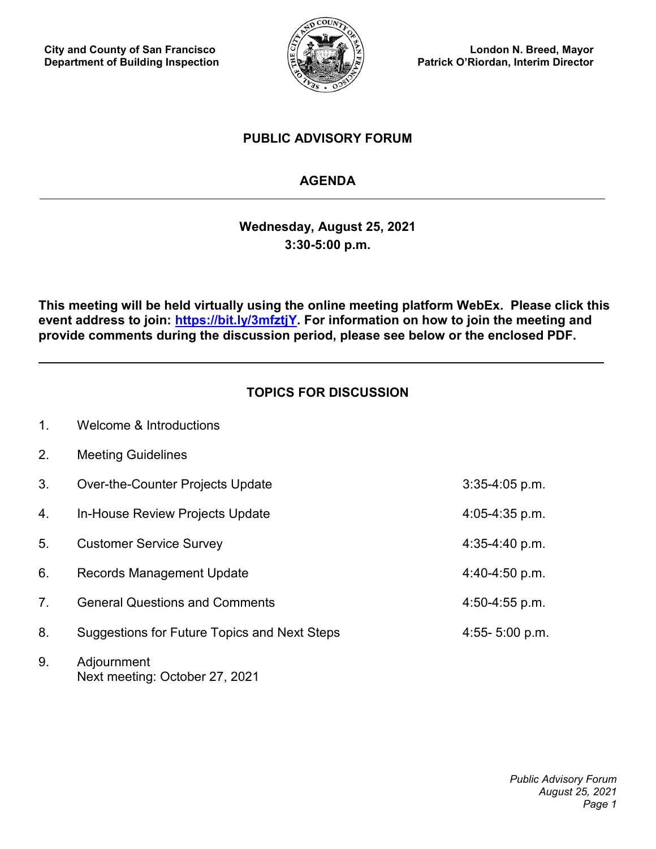**City and County of San Francisco Department of Building Inspection**

1. Welcome & Introductions



**London N. Breed, Mayor Patrick O'Riordan, Interim Director**

# **PUBLIC ADVISORY FORUM**

# **AGENDA**

**Wednesday, August 25, 2021 3:30-5:00 p.m.**

**This meeting will be held virtually using the online meeting platform WebEx. Please click this event address to join: [https://bit.ly/3mfztjY.](https://bit.ly/3mfztjY) For information on how to join the meeting and provide comments during the discussion period, please see below or the enclosed PDF.**

# **TOPICS FOR DISCUSSION**

| 2.             | <b>Meeting Guidelines</b>                     |                    |
|----------------|-----------------------------------------------|--------------------|
| 3.             | <b>Over-the-Counter Projects Update</b>       | $3:35-4:05$ p.m.   |
| 4.             | In-House Review Projects Update               | $4:05 - 4:35$ p.m. |
| 5.             | <b>Customer Service Survey</b>                | $4:35-4:40 p.m.$   |
| 6.             | <b>Records Management Update</b>              | $4:40-4:50 p.m.$   |
| 7 <sub>1</sub> | <b>General Questions and Comments</b>         | $4:50-4:55$ p.m.   |
| 8.             | Suggestions for Future Topics and Next Steps  | 4:55- $5:00$ p.m.  |
| 9.             | Adjournment<br>Next meeting: October 27, 2021 |                    |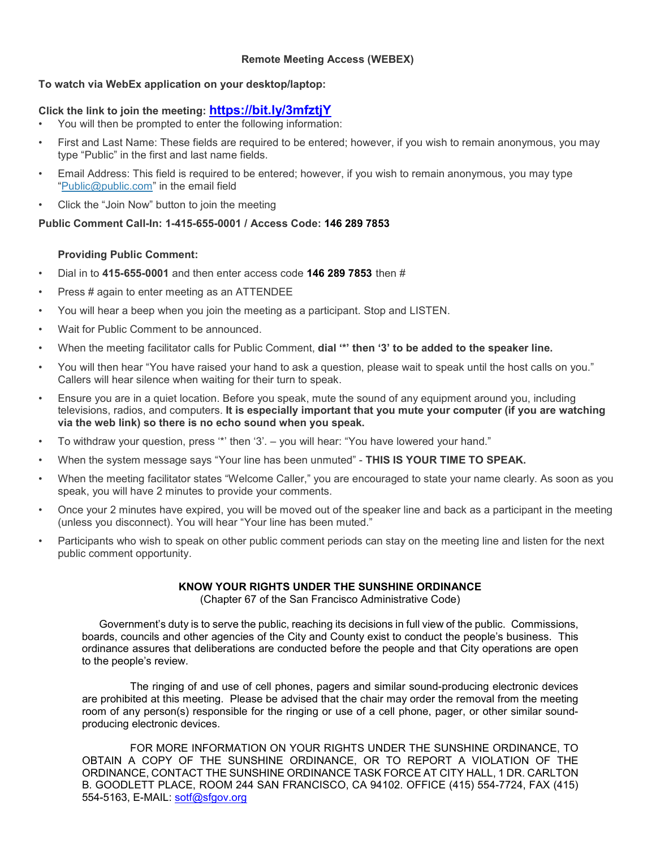#### **Remote Meeting Access (WEBEX)**

### **To watch via WebEx application on your desktop/laptop:**

### **Click the link to join the meeting: <https://bit.ly/3mfztjY>**

- You will then be prompted to enter the following information:
- First and Last Name: These fields are required to be entered; however, if you wish to remain anonymous, you may type "Public" in the first and last name fields.
- Email Address: This field is required to be entered; however, if you wish to remain anonymous, you may type ["Public@public.com"](mailto:Public@public.com) in the email field
- Click the "Join Now" button to join the meeting

## **Public Comment Call-In: 1-415-655-0001 / Access Code: 146 289 7853**

## **Providing Public Comment:**

- Dial in to **415-655-0001** and then enter access code **146 289 7853** then #
- Press # again to enter meeting as an ATTENDEE
- You will hear a beep when you join the meeting as a participant. Stop and LISTEN.
- Wait for Public Comment to be announced.
- When the meeting facilitator calls for Public Comment, **dial '\*' then '3' to be added to the speaker line.**
- You will then hear "You have raised your hand to ask a question, please wait to speak until the host calls on you." Callers will hear silence when waiting for their turn to speak.
- Ensure you are in a quiet location. Before you speak, mute the sound of any equipment around you, including televisions, radios, and computers. **It is especially important that you mute your computer (if you are watching via the web link) so there is no echo sound when you speak.**
- To withdraw your question, press '\*' then '3'. you will hear: "You have lowered your hand."
- When the system message says "Your line has been unmuted" **THIS IS YOUR TIME TO SPEAK.**
- When the meeting facilitator states "Welcome Caller," you are encouraged to state your name clearly. As soon as you speak, you will have 2 minutes to provide your comments.
- Once your 2 minutes have expired, you will be moved out of the speaker line and back as a participant in the meeting (unless you disconnect). You will hear "Your line has been muted."
- Participants who wish to speak on other public comment periods can stay on the meeting line and listen for the next public comment opportunity.

## **KNOW YOUR RIGHTS UNDER THE SUNSHINE ORDINANCE**

(Chapter 67 of the San Francisco Administrative Code)

 Government's duty is to serve the public, reaching its decisions in full view of the public. Commissions, boards, councils and other agencies of the City and County exist to conduct the people's business. This ordinance assures that deliberations are conducted before the people and that City operations are open to the people's review.

The ringing of and use of cell phones, pagers and similar sound-producing electronic devices are prohibited at this meeting. Please be advised that the chair may order the removal from the meeting room of any person(s) responsible for the ringing or use of a cell phone, pager, or other similar soundproducing electronic devices.

FOR MORE INFORMATION ON YOUR RIGHTS UNDER THE SUNSHINE ORDINANCE, TO OBTAIN A COPY OF THE SUNSHINE ORDINANCE, OR TO REPORT A VIOLATION OF THE ORDINANCE, CONTACT THE SUNSHINE ORDINANCE TASK FORCE AT CITY HALL, 1 DR. CARLTON B. GOODLETT PLACE, ROOM 244 SAN FRANCISCO, CA 94102. OFFICE (415) 554-7724, FAX (415) 554-5163, E-MAIL: [sotf@sfgov.org](mailto:sotf@sfgov.org)